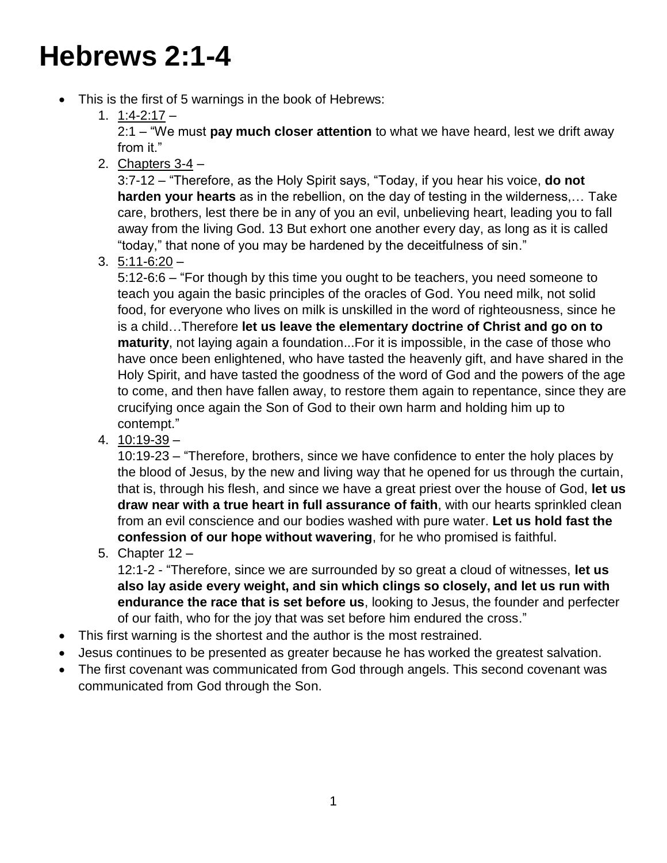## **Hebrews 2:1-4**

- This is the first of 5 warnings in the book of Hebrews:
	- 1. 1:4-2:17 –

2:1 – "We must **pay much closer attention** to what we have heard, lest we drift away from it."

2. Chapters  $3-4$  –

3:7-12 – "Therefore, as the Holy Spirit says, "Today, if you hear his voice, **do not harden your hearts** as in the rebellion, on the day of testing in the wilderness,… Take care, brothers, lest there be in any of you an evil, unbelieving heart, leading you to fall away from the living God. 13 But exhort one another every day, as long as it is called "today," that none of you may be hardened by the deceitfulness of sin."

 $3.5:11-6:20-$ 

5:12-6:6 – "For though by this time you ought to be teachers, you need someone to teach you again the basic principles of the oracles of God. You need milk, not solid food, for everyone who lives on milk is unskilled in the word of righteousness, since he is a child…Therefore **let us leave the elementary doctrine of Christ and go on to maturity**, not laying again a foundation...For it is impossible, in the case of those who have once been enlightened, who have tasted the heavenly gift, and have shared in the Holy Spirit, and have tasted the goodness of the word of God and the powers of the age to come, and then have fallen away, to restore them again to repentance, since they are crucifying once again the Son of God to their own harm and holding him up to contempt."

4. 10:19-39 –

10:19-23 – "Therefore, brothers, since we have confidence to enter the holy places by the blood of Jesus, by the new and living way that he opened for us through the curtain, that is, through his flesh, and since we have a great priest over the house of God, **let us draw near with a true heart in full assurance of faith**, with our hearts sprinkled clean from an evil conscience and our bodies washed with pure water. **Let us hold fast the confession of our hope without wavering**, for he who promised is faithful.

5. Chapter 12 –

12:1-2 - "Therefore, since we are surrounded by so great a cloud of witnesses, **let us also lay aside every weight, and sin which clings so closely, and let us run with endurance the race that is set before us**, looking to Jesus, the founder and perfecter of our faith, who for the joy that was set before him endured the cross."

- This first warning is the shortest and the author is the most restrained.
- Jesus continues to be presented as greater because he has worked the greatest salvation.
- The first covenant was communicated from God through angels. This second covenant was communicated from God through the Son.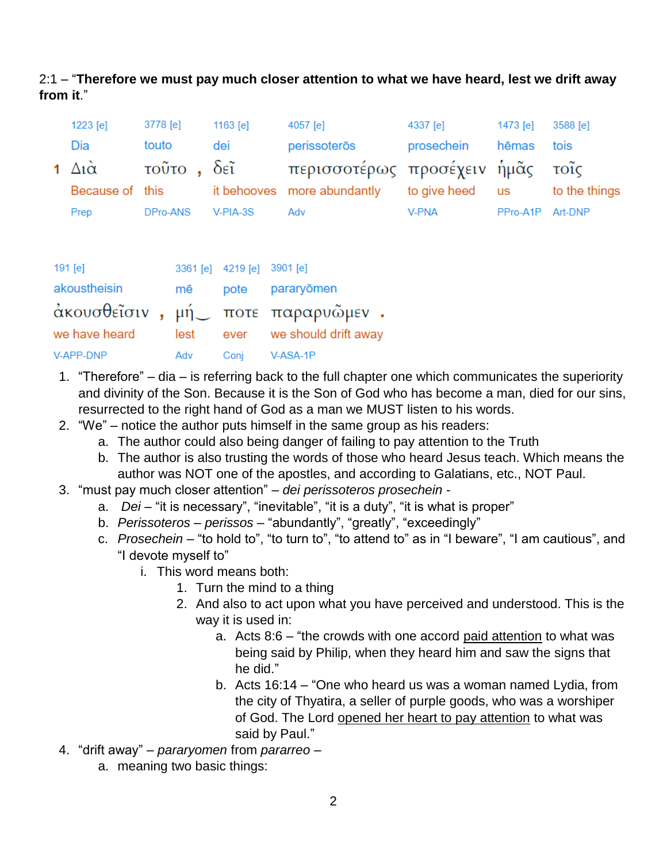## 2:1 – "**Therefore we must pay much closer attention to what we have heard, lest we drift away from it**."

| 1223 [e]                   | 3778 [e]   | $1163$ [e] | 4057 [e]                                    | 4337 [e]     | 1473 [e] | 3588 [e]      |
|----------------------------|------------|------------|---------------------------------------------|--------------|----------|---------------|
| Dia                        | touto      | dei        | perissoterōs                                | prosechein   | hēmas    | tois          |
| 1 $\Delta i\tilde{\alpha}$ | τοῦτο, δεῖ |            | περισσοτέρως προσέχειν ἡμᾶς τοῖς            |              |          |               |
| Because of this            |            |            | it behooves more abundantly to give heed us |              |          | to the things |
| Prep                       | DPro-ANS   | $V-PIA-3S$ | Adv                                         | <b>V-PNA</b> | PPro-A1P | Art-DNP       |

| 191 [e]          |     | 3361 [e] 4219 [e] 3901 [e] |                                              |
|------------------|-----|----------------------------|----------------------------------------------|
| akoustheisin     |     |                            | mē pote pararyōmen                           |
|                  |     |                            | άκουσθεῖσιν , μή $\_$ ποτε παραρυῶμεν .      |
|                  |     |                            | we have heard lest ever we should drift away |
| <b>V-APP-DNP</b> | Adv |                            | Coni V-ASA-1P                                |

- 1. "Therefore" dia is referring back to the full chapter one which communicates the superiority and divinity of the Son. Because it is the Son of God who has become a man, died for our sins, resurrected to the right hand of God as a man we MUST listen to his words.
- 2. "We" notice the author puts himself in the same group as his readers:
	- a. The author could also being danger of failing to pay attention to the Truth
	- b. The author is also trusting the words of those who heard Jesus teach. Which means the author was NOT one of the apostles, and according to Galatians, etc., NOT Paul.
- 3. "must pay much closer attention" *dei perissoteros prosechein*
	- a. *Dei* "it is necessary", "inevitable", "it is a duty", "it is what is proper"
	- b. *Perissoteros perissos* "abundantly", "greatly", "exceedingly"
	- c. *Prosechein* "to hold to", "to turn to", "to attend to" as in "I beware", "I am cautious", and "I devote myself to"
		- i. This word means both:
			- 1. Turn the mind to a thing
			- 2. And also to act upon what you have perceived and understood. This is the way it is used in:
				- a. Acts 8:6 "the crowds with one accord paid attention to what was being said by Philip, when they heard him and saw the signs that he did."
				- b. Acts 16:14 "One who heard us was a woman named Lydia, from the city of Thyatira, a seller of purple goods, who was a worshiper of God. The Lord opened her heart to pay attention to what was said by Paul."
- 4. "drift away" *pararyomen* from *pararreo*
	- a. meaning two basic things: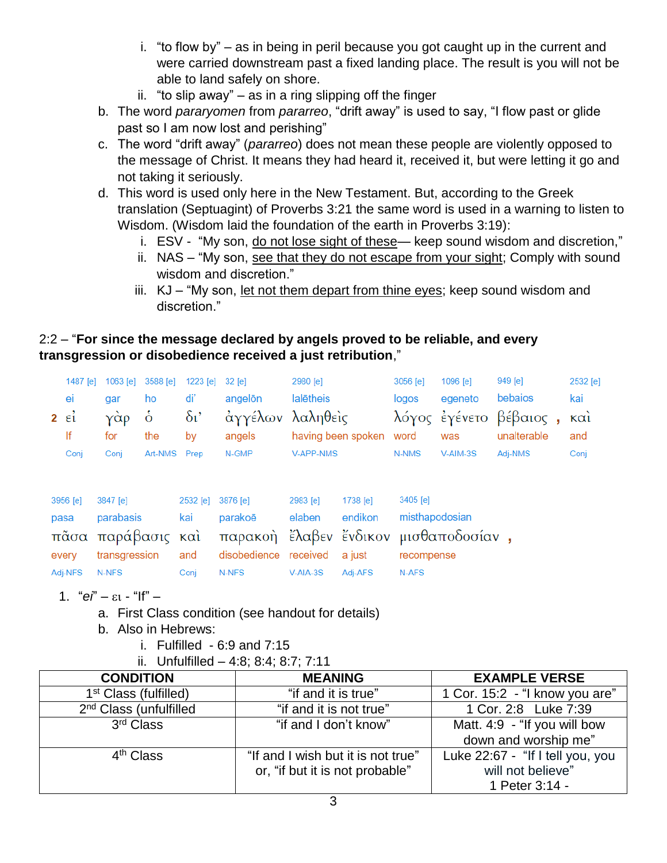- i. "to flow by" as in being in peril because you got caught up in the current and were carried downstream past a fixed landing place. The result is you will not be able to land safely on shore.
- ii. "to slip away" as in a ring slipping off the finger
- b. The word *pararyomen* from *pararreo*, "drift away" is used to say, "I flow past or glide past so I am now lost and perishing"
- c. The word "drift away" (*pararreo*) does not mean these people are violently opposed to the message of Christ. It means they had heard it, received it, but were letting it go and not taking it seriously.
- d. This word is used only here in the New Testament. But, according to the Greek translation (Septuagint) of Proverbs 3:21 the same word is used in a warning to listen to Wisdom. (Wisdom laid the foundation of the earth in Proverbs 3:19):
	- i. ESV "My son, do not lose sight of these— keep sound wisdom and discretion,"
	- ii. NAS "My son, see that they do not escape from your sight; Comply with sound wisdom and discretion."
	- iii. KJ "My son, let not them depart from thine eyes; keep sound wisdom and discretion."

## 2:2 – "**For since the message declared by angels proved to be reliable, and every transgression or disobedience received a just retribution**,"

|                | 1487 [e]              | 1063 [e]      | 3588 [e]              | 1223 [e]         | $32$ [e]                              | 2980 [e]         |                    | 3056 [e]       | 1096 [e] | 949 [e]     | 2532 [e] |
|----------------|-----------------------|---------------|-----------------------|------------------|---------------------------------------|------------------|--------------------|----------------|----------|-------------|----------|
|                | ei                    | gar           | ho                    | di'              | angelön                               | lalētheis        |                    | logos          | egeneto  | bebaios     | kai      |
| $2 \epsilon i$ | $\dot{\delta}$<br>γάρ |               | $\delta$ <sup>'</sup> | άγγέλων λαληθεὶς |                                       |                  |                    | λόγος έγένετο  | βέβαιος, | καὶ         |          |
|                | lf                    | the<br>for    |                       | by               | angels                                |                  | having been spoken | word           | was      | unalterable | and      |
|                | Conj                  | Conj          | Art-NMS               | Prep             | N-GMP                                 | <b>V-APP-NMS</b> |                    | N-NMS          | V-AIM-3S | Adj-NMS     | Conj     |
|                |                       |               |                       |                  |                                       |                  |                    |                |          |             |          |
|                | 3956 [e]              | 3847 [e]      |                       | 2532 [e]         | 3876 [e]                              | 2983 [e]         | 1738 [e]           | $3405$ [e]     |          |             |          |
| pasa           |                       | parabasis     |                       | kai              | parakoē                               | elaben           | endikon            | misthapodosian |          |             |          |
|                | $π\tilde{α}σα$        | παράβασις και |                       |                  | παρακοή έλαβεν ένδικον μισθαποδοσίαν, |                  |                    |                |          |             |          |
|                | every                 | transgression |                       | and              | disobedience                          | received         | a just             | recompense     |          |             |          |
|                | Adj-NFS               | N-NFS         |                       | Conj             | N-NFS                                 | $V-AIA-3S$       | Adj-AFS            | N-AFS          |          |             |          |

- 1.  $^{4}$  $\theta$ <sup>n</sup>  $\varepsilon$ <sub>1</sub>  $^{4}$  $\theta$ <sup>n</sup>
	- a. First Class condition (see handout for details)
	- b. Also in Hebrews:
		- i. Fulfilled  $-6.9$  and  $7.15$
		- ii. Unfulfilled 4:8; 8:4; 8:7; 7:11

| <b>CONDITION</b>                   | <b>MEANING</b>                     | <b>EXAMPLE VERSE</b>             |
|------------------------------------|------------------------------------|----------------------------------|
| 1 <sup>st</sup> Class (fulfilled)  | "if and it is true"                | 1 Cor. 15:2 - "I know you are"   |
| 2 <sup>nd</sup> Class (unfulfilled | "if and it is not true"            | 1 Cor. 2:8 Luke 7:39             |
| 3rd Class                          | "if and I don't know"              | Matt. 4:9 - "If you will bow     |
|                                    |                                    | down and worship me"             |
| 4 <sup>th</sup> Class              | "If and I wish but it is not true" | Luke 22:67 - "If I tell you, you |
|                                    | or, "if but it is not probable"    | will not believe"                |
|                                    |                                    | 1 Peter 3:14 -                   |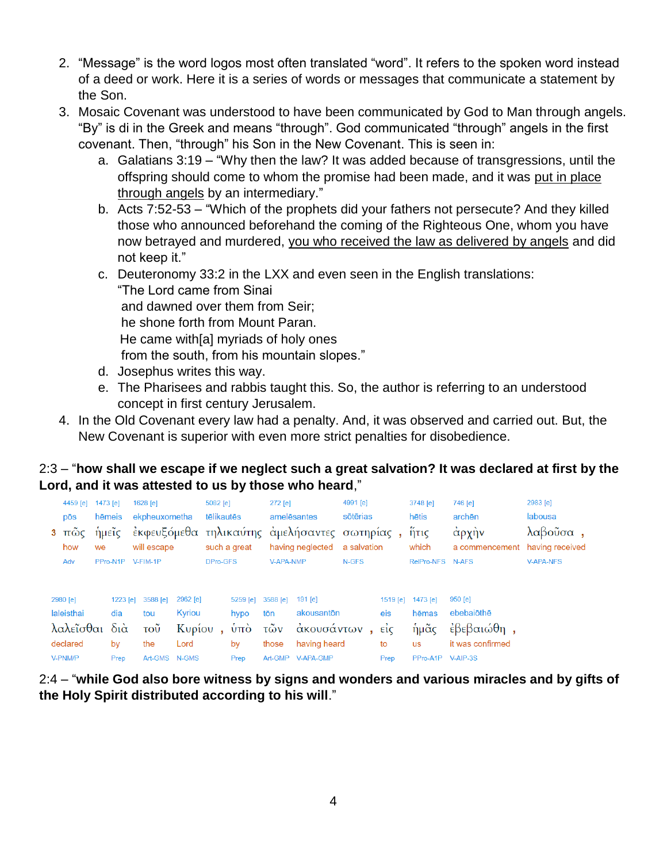- 2. "Message" is the word logos most often translated "word". It refers to the spoken word instead of a deed or work. Here it is a series of words or messages that communicate a statement by the Son.
- 3. Mosaic Covenant was understood to have been communicated by God to Man through angels. "By" is di in the Greek and means "through". God communicated "through" angels in the first covenant. Then, "through" his Son in the New Covenant. This is seen in:
	- a. Galatians 3:19 "Why then the law? It was added because of transgressions, until the offspring should come to whom the promise had been made, and it was put in place through angels by an intermediary."
	- b. Acts 7:52-53 "Which of the prophets did your fathers not persecute? And they killed those who announced beforehand the coming of the Righteous One, whom you have now betrayed and murdered, you who received the law as delivered by angels and did not keep it."
	- c. Deuteronomy 33:2 in the LXX and even seen in the English translations: "The Lord came from Sinai and dawned over them from Seir; he shone forth from Mount Paran. He came with[a] myriads of holy ones from the south, from his mountain slopes."
		- d. Josephus writes this way.
		- e. The Pharisees and rabbis taught this. So, the author is referring to an understood concept in first century Jerusalem.
- 4. In the Old Covenant every law had a penalty. And, it was observed and carried out. But, the New Covenant is superior with even more strict penalties for disobedience.

## 2:3 – "**how shall we escape if we neglect such a great salvation? It was declared at first by the Lord, and it was attested to us by those who heard**,"

| 4459 [e]<br>pōs<br>$\overline{\pi\omega}$ c<br>3<br>how |            | 1473 [e]<br>hēmeis<br>ήμεῖς<br>we | 1628 [e]<br>ekpheuxometha<br>will escape |               | 5082 [e]<br>tēlikautēs<br>such a great |                | $272$ [e]        | amelēsantes<br>έκφευξόμεθα τηλικαύτης αμελήσαντες σωτηρίας,<br>having neglected |       | 4991 [e]<br>3748 [e]<br>sōtērias<br>ἥτις<br>which<br>a salvation |                   | 746 [e]<br>archēn<br>άρχὴν<br>a commencement having received | 2983 [e]<br>labousa<br>λαβοῦσα, |  |
|---------------------------------------------------------|------------|-----------------------------------|------------------------------------------|---------------|----------------------------------------|----------------|------------------|---------------------------------------------------------------------------------|-------|------------------------------------------------------------------|-------------------|--------------------------------------------------------------|---------------------------------|--|
|                                                         | Adv        | PPro-N1P                          | V-FIM-1P                                 |               | DPro-GFS                               |                | <b>V-APA-NMP</b> |                                                                                 | N-GFS |                                                                  | RelPro-NFS N-AFS  |                                                              | <b>V-APA-NFS</b>                |  |
| 2980 [e]                                                |            | 1223 [e]                          | 3588 [e]                                 | 2962 [e]      |                                        | $5259$ [e]     | 3588 [e]         | 191 [e]                                                                         |       | 1519 [e]                                                         | 1473 [e]          | $950$ [e]                                                    |                                 |  |
|                                                         | laleisthai | dia                               | tou                                      | Kyriou        |                                        | hypo           | tōn              | akousantōn                                                                      |       | eis                                                              | hēmas             | ebebaiothe                                                   |                                 |  |
|                                                         | λαλεῖσθαι  | $\delta$ ιά                       | $\overline{\mathrm{TOU}}$                | Κυρίου        |                                        | $\dot{\nu}$ πο | τῶν              | ακουσάντων                                                                      |       | EIC                                                              | ἡμᾶς              | έβεβαιώθη,                                                   |                                 |  |
|                                                         | declared   | by                                | the                                      | Lord          |                                        | by             | those            | having heard                                                                    |       | to                                                               | <b>us</b>         | it was confirmed                                             |                                 |  |
| V-PNM/P                                                 |            | Prep                              |                                          | Art-GMS N-GMS |                                        | Prep           | Art-GMP          | V-APA-GMP                                                                       |       | Prep                                                             | PPro-A1P V-AIP-3S |                                                              |                                 |  |

2:4 – "**while God also bore witness by signs and wonders and various miracles and by gifts of the Holy Spirit distributed according to his will**."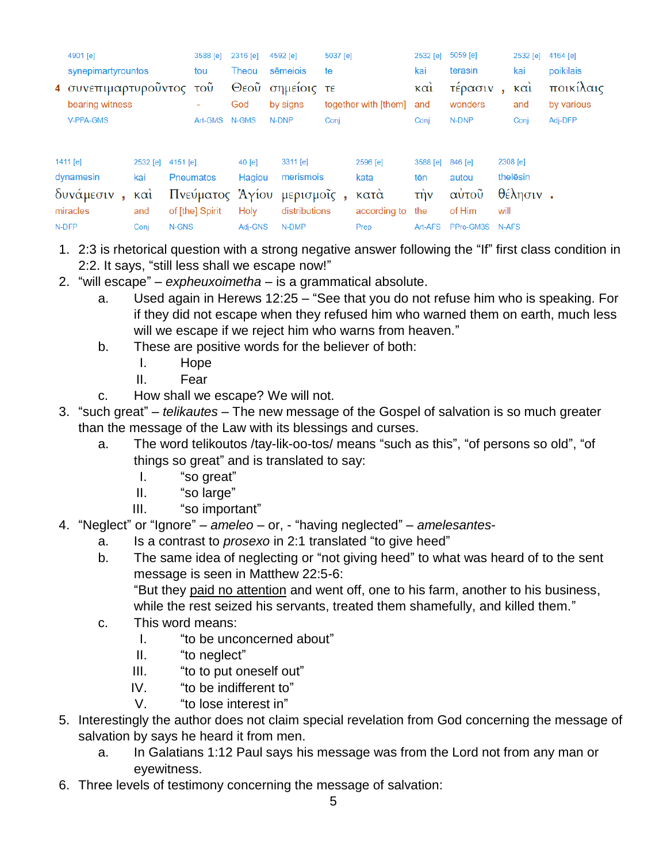|  | 4901 [e]                                                      |                   |       | 3588 [e]              | 2316 [e]                            |          |                      | 4592 [e]      | 5037 [e]         |                          | 2532 [e] | 5059 [e]         |                         | 2532 [e] | 4164 [e]  |
|--|---------------------------------------------------------------|-------------------|-------|-----------------------|-------------------------------------|----------|----------------------|---------------|------------------|--------------------------|----------|------------------|-------------------------|----------|-----------|
|  | synepimartyrountos<br>4 συνεπιμαρτυροῦντος<br>bearing witness |                   |       | tou                   |                                     | Theou    |                      | sēmeiois      |                  | te                       |          | terasin          |                         | kai      | poikilais |
|  |                                                               |                   |       | $\overline{100}$<br>٠ | Θεοῦ σημείοις τε<br>by signs<br>God |          | together with [them] |               | $K\alpha$<br>and | τέρασιν<br>×.<br>wonders |          | $K\alpha$<br>and | ποικίλαις<br>by various |          |           |
|  | V-PPA-GMS                                                     |                   |       | Art-GMS               | N-GMS                               |          | N-DNP                |               | Conj             |                          | Conj     | N-DNP            |                         | Conj     | Adj-DFP   |
|  | 1411 [e]                                                      | 2532 [e] 4151 [e] |       |                       |                                     | $40$ [e] |                      | 3311 [e]      |                  | 2596 [e]                 | 3588 [e] | 846 [e]          |                         | 2308 [e] |           |
|  | dynamesin                                                     | kai               |       | <b>Pneumatos</b>      |                                     | Hagiou   |                      | merismois     |                  | kata                     | tēn      | autou            |                         | thelēsin |           |
|  | δυνάμεσιν<br>$\mathbf{a}$ .                                   | καὶ               |       | Πνεύματος Άγίου       |                                     |          |                      | μερισμοΐς,    |                  | κατά                     | τήν      | αύτοῦ            |                         | θέλησιν. |           |
|  | miracles                                                      | and               |       | of [the] Spirit       |                                     | Holy     |                      | distributions |                  | according to             | the      | of Him           | will                    |          |           |
|  | N-DFP                                                         | Conj              | N-GNS |                       |                                     | Adj-GNS  |                      | N-DMP         |                  | Prep                     | Art-AFS  | PPro-GM3S        | N-AFS                   |          |           |

- 1. 2:3 is rhetorical question with a strong negative answer following the "If" first class condition in 2:2. It says, "still less shall we escape now!"
- 2. "will escape" *expheuxoimetha* is a grammatical absolute.
	- a. Used again in Herews 12:25 "See that you do not refuse him who is speaking. For if they did not escape when they refused him who warned them on earth, much less will we escape if we reject him who warns from heaven."
	- b. These are positive words for the believer of both:
		- I. Hope
		- II. Fear
	- c. How shall we escape? We will not.
- 3. "such great" *telikautes* The new message of the Gospel of salvation is so much greater than the message of the Law with its blessings and curses.
	- a. The word telikoutos /tay-lik-oo-tos/ means "such as this", "of persons so old", "of things so great" and is translated to say:
		- I. "so great"
		- II. "so large"
		- III. "so important"
- 4. "Neglect" or "Ignore" *ameleo* or, "having neglected" *amelesantes*
	- a. Is a contrast to *prosexo* in 2:1 translated "to give heed"
	- b. The same idea of neglecting or "not giving heed" to what was heard of to the sent message is seen in Matthew 22:5-6: "But they paid no attention and went off, one to his farm, another to his business, while the rest seized his servants, treated them shamefully, and killed them."
	- c. This word means:
		- I. "to be unconcerned about"
		- II. "to neglect"
		- III. "to to put oneself out"
		- IV. "to be indifferent to"
		- V. "to lose interest in"
- 5. Interestingly the author does not claim special revelation from God concerning the message of salvation by says he heard it from men.
	- a. In Galatians 1:12 Paul says his message was from the Lord not from any man or eyewitness.
- 6. Three levels of testimony concerning the message of salvation: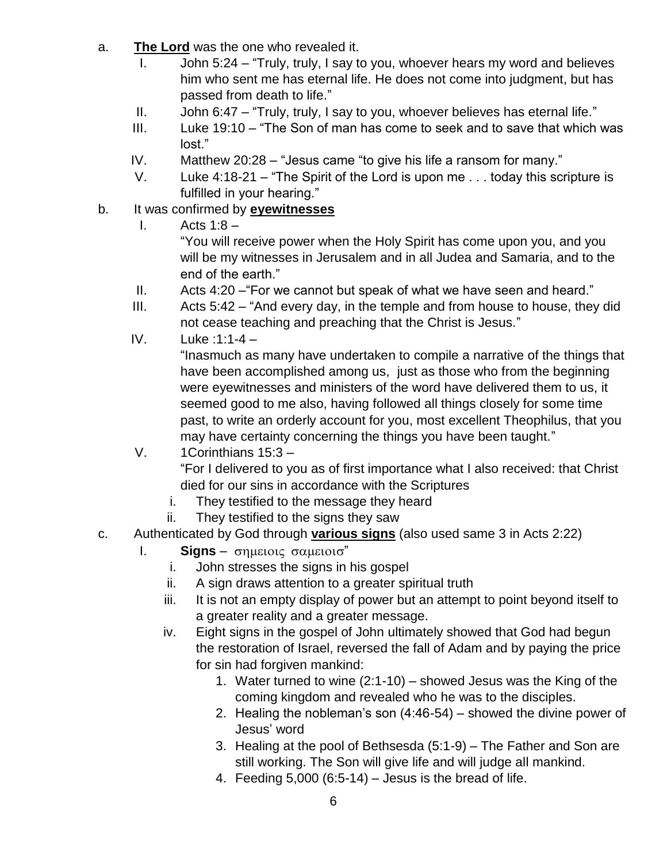- a. **The Lord** was the one who revealed it.
	- I. John 5:24 "Truly, truly, I say to you, whoever hears my word and believes him who sent me has eternal life. He does not come into judgment, but has passed from death to life."
	- II. John 6:47 "Truly, truly, I say to you, whoever believes has eternal life."
	- III. Luke 19:10 "The Son of man has come to seek and to save that which was lost."
	- IV. Matthew 20:28 "Jesus came "to give his life a ransom for many."
	- V. Luke 4:18-21 "The Spirit of the Lord is upon me . . . today this scripture is fulfilled in your hearing."
- b. It was confirmed by **eyewitnesses**
	- I. Acts  $1:8-$

"You will receive power when the Holy Spirit has come upon you, and you will be my witnesses in Jerusalem and in all Judea and Samaria, and to the end of the earth."

- II. Acts 4:20 –"For we cannot but speak of what we have seen and heard."
- III. Acts 5:42 "And every day, in the temple and from house to house, they did not cease teaching and preaching that the Christ is Jesus."
- IV. Luke :1:1-4 –

"Inasmuch as many have undertaken to compile a narrative of the things that have been accomplished among us, just as those who from the beginning were eyewitnesses and ministers of the word have delivered them to us, it seemed good to me also, having followed all things closely for some time past, to write an orderly account for you, most excellent Theophilus, that you may have certainty concerning the things you have been taught."

- V. 1Corinthians 15:3 "For I delivered to you as of first importance what I also received: that Christ died for our sins in accordance with the Scriptures
	- i. They testified to the message they heard
	- ii. They testified to the signs they saw
- c. Authenticated by God through **various signs** (also used same 3 in Acts 2:22)
	- $\mathsf{I}$ . **Signs**  $\sigma$ ημειοις σαμειοισ"
		- i. John stresses the signs in his gospel
		- ii. A sign draws attention to a greater spiritual truth
		- iii. It is not an empty display of power but an attempt to point beyond itself to a greater reality and a greater message.
		- iv. Eight signs in the gospel of John ultimately showed that God had begun the restoration of Israel, reversed the fall of Adam and by paying the price for sin had forgiven mankind:
			- 1. Water turned to wine (2:1-10) showed Jesus was the King of the coming kingdom and revealed who he was to the disciples.
			- 2. Healing the nobleman's son (4:46-54) showed the divine power of Jesus' word
			- 3. Healing at the pool of Bethsesda (5:1-9) The Father and Son are still working. The Son will give life and will judge all mankind.
			- 4. Feeding  $5,000$  (6:5-14) Jesus is the bread of life.